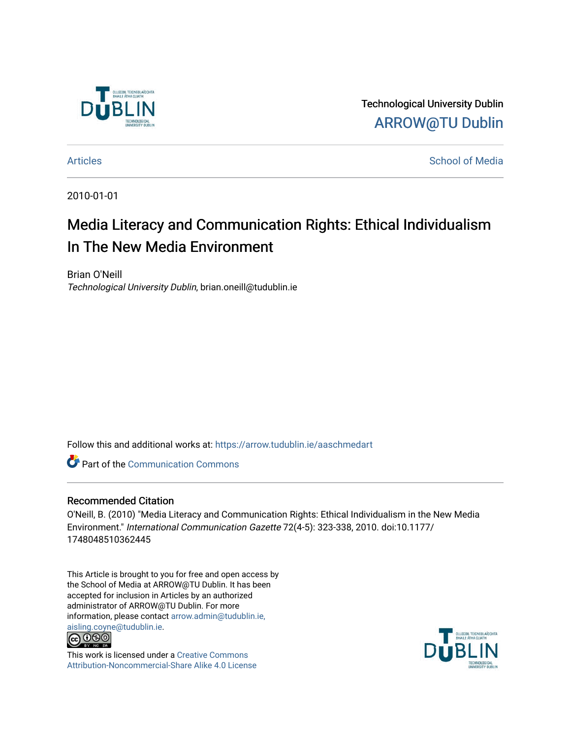

Technological University Dublin [ARROW@TU Dublin](https://arrow.tudublin.ie/) 

[Articles](https://arrow.tudublin.ie/aaschmedart) **School of Media** 

2010-01-01

# Media Literacy and Communication Rights: Ethical Individualism In The New Media Environment

Brian O'Neill Technological University Dublin, brian.oneill@tudublin.ie

Follow this and additional works at: [https://arrow.tudublin.ie/aaschmedart](https://arrow.tudublin.ie/aaschmedart?utm_source=arrow.tudublin.ie%2Faaschmedart%2F36&utm_medium=PDF&utm_campaign=PDFCoverPages) 

Part of the [Communication Commons](http://network.bepress.com/hgg/discipline/325?utm_source=arrow.tudublin.ie%2Faaschmedart%2F36&utm_medium=PDF&utm_campaign=PDFCoverPages) 

# Recommended Citation

O'Neill, B. (2010) "Media Literacy and Communication Rights: Ethical Individualism in the New Media Environment." International Communication Gazette 72(4-5): 323-338, 2010. doi:10.1177/ 1748048510362445

This Article is brought to you for free and open access by the School of Media at ARROW@TU Dublin. It has been accepted for inclusion in Articles by an authorized administrator of ARROW@TU Dublin. For more information, please contact [arrow.admin@tudublin.ie,](mailto:arrow.admin@tudublin.ie,%20aisling.coyne@tudublin.ie)  [aisling.coyne@tudublin.ie.](mailto:arrow.admin@tudublin.ie,%20aisling.coyne@tudublin.ie)<br>© 090



This work is licensed under a [Creative Commons](http://creativecommons.org/licenses/by-nc-sa/4.0/) [Attribution-Noncommercial-Share Alike 4.0 License](http://creativecommons.org/licenses/by-nc-sa/4.0/)

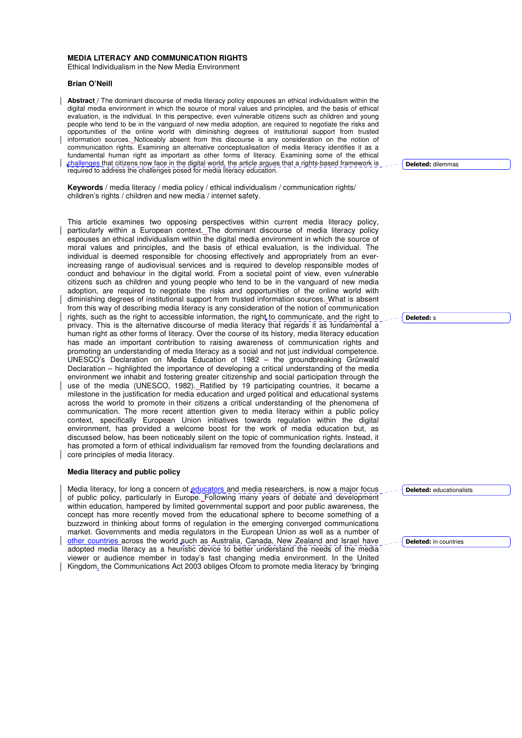# **MEDIA LITERACY AND COMMUNICATION RIGHTS**

Ethical Individualism in the New Media Environment

## **Brian O'Neill**

**Abstract /** The dominant discourse of media literacy policy espouses an ethical individualism within the digital media environment in which the source of moral values and principles, and the basis of ethical evaluation, is the individual. In this perspective, even vulnerable citizens such as children and young people who tend to be in the vanguard of new media adoption, are required to negotiate the risks and opportunities of the online world with diminishing degrees of institutional support from trusted information sources. Noticeably absent from this discourse is any consideration on the notion of communication rights. Examining an alternative conceptualisation of media literacy identifies it as a fundamental human right as important as other forms of literacy. Examining some of the ethical challenges that citizens now face in the digital world, the article argues that a rights-based framework is

required to address the challenges posed for media literacy education. **Keywords** / media literacy / media policy / ethical individualism / communication rights/

children's rights / children and new media / internet safety.

This article examines two opposing perspectives within current media literacy policy, particularly within a European context. The dominant discourse of media literacy policy espouses an ethical individualism within the digital media environment in which the source of moral values and principles, and the basis of ethical evaluation, is the individual. The individual is deemed responsible for choosing effectively and appropriately from an everincreasing range of audiovisual services and is required to develop responsible modes of conduct and behaviour in the digital world. From a societal point of view, even vulnerable citizens such as children and young people who tend to be in the vanguard of new media adoption, are required to negotiate the risks and opportunities of the online world with diminishing degrees of institutional support from trusted information sources. What is absent from this way of describing media literacy is any consideration of the notion of communication rights, such as the right to accessible information, the right to communicate, and the right to privacy. This is the alternative discourse of media literacy that regards it as fundamental a human right as other forms of literacy. Over the course of its history, media literacy education has made an important contribution to raising awareness of communication rights and promoting an understanding of media literacy as a social and not just individual competence. UNESCO's Declaration on Media Education of 1982 – the groundbreaking Grünwald Declaration – highlighted the importance of developing a critical understanding of the media environment we inhabit and fostering greater citizenship and social participation through the use of the media (UNESCO, 1982). Ratified by 19 participating countries, it became a milestone in the justification for media education and urged political and educational systems across the world to promote in their citizens a critical understanding of the phenomena of communication. The more recent attention given to media literacy within a public policy context, specifically European Union initiatives towards regulation within the digital environment, has provided a welcome boost for the work of media education but, as discussed below, has been noticeably silent on the topic of communication rights. Instead, it has promoted a form of ethical individualism far removed from the founding declarations and core principles of media literacy.

#### **Media literacy and public policy**

Media literacy, for long a concern of *educators* and media researchers, is now a major focus of public policy, particularly in Europe. Following many years of debate and development within education, hampered by limited governmental support and poor public awareness, the concept has more recently moved from the educational sphere to become something of a buzzword in thinking about forms of regulation in the emerging converged communications market. Governments and media regulators in the European Union as well as a number of other countries across the world such as Australia, Canada, New Zealand and Israel have adopted media literacy as a heuristic device to better understand the needs of the media viewer or audience member in today's fast changing media environment. In the United Kingdom, the Communications Act 2003 obliges Ofcom to promote media literacy by 'bringing

Deleted: dilemmas

Deleted: s

Deleted: educationalists

Deleted: in countries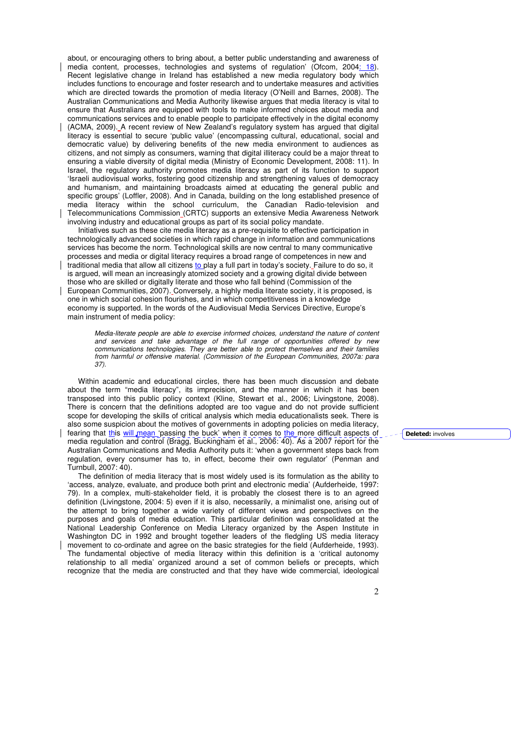about, or encouraging others to bring about, a better public understanding and awareness of media content, processes, technologies and systems of regulation' (Ofcom, 2004: 18). Recent legislative change in Ireland has established a new media regulatory body which includes functions to encourage and foster research and to undertake measures and activities which are directed towards the promotion of media literacy (O'Neill and Barnes, 2008). The Australian Communications and Media Authority likewise argues that media literacy is vital to ensure that Australians are equipped with tools to make informed choices about media and communications services and to enable people to participate effectively in the digital economy (ACMA, 2009). A recent review of New Zealand's regulatory system has argued that digital literacy is essential to secure 'public value' (encompassing cultural, educational, social and democratic value) by delivering benefits of the new media environment to audiences as citizens, and not simply as consumers, warning that digital illiteracy could be a major threat to ensuring a viable diversity of digital media (Ministry of Economic Development, 2008: 11). In Israel, the regulatory authority promotes media literacy as part of its function to support 'Israeli audiovisual works, fostering good citizenship and strengthening values of democracy and humanism, and maintaining broadcasts aimed at educating the general public and specific groups' (Loffler, 2008). And in Canada, building on the long established presence of media literacy within the school curriculum, the Canadian Radio-television and Telecommunications Commission (CRTC) supports an extensive Media Awareness Network involving industry and educational groups as part of its social policy mandate.

Initiatives such as these cite media literacy as a pre-requisite to effective participation in technologically advanced societies in which rapid change in information and communications services has become the norm. Technological skills are now central to many communicative processes and media or digital literacy requires a broad range of competences in new and traditional media that allow all citizens to play a full part in today's society. Failure to do so, it is argued, will mean an increasingly atomized society and a growing digital divide between those who are skilled or digitally literate and those who fall behind (Commission of the European Communities, 2007). Conversely, a highly media literate society, it is proposed, is one in which social cohesion flourishes, and in which competitiveness in a knowledge economy is supported. In the words of the Audiovisual Media Services Directive, Europe's main instrument of media policy:

Media-literate people are able to exercise informed choices, understand the nature of content and services and take advantage of the full range of opportunities offered by new communications technologies. They are better able to protect themselves and their families from harmful or offensive material. (Commission of the European Communities, 2007a: para 37).

Within academic and educational circles, there has been much discussion and debate about the term "media literacy", its imprecision, and the manner in which it has been transposed into this public policy context (Kline, Stewart et al., 2006; Livingstone, 2008). There is concern that the definitions adopted are too vague and do not provide sufficient scope for developing the skills of critical analysis which media educationalists seek. There is also some suspicion about the motives of governments in adopting policies on media literacy, fearing that this will mean 'passing the buck' when it comes to the more difficult aspects of media regulation and control (Bragg, Buckingham et al., 2006: 40). As a 2007 report for the Australian Communications and Media Authority puts it: 'when a government steps back from regulation, every consumer has to, in effect, become their own regulator' (Penman and Turnbull, 2007: 40).

The definition of media literacy that is most widely used is its formulation as the ability to 'access, analyze, evaluate, and produce both print and electronic media' (Aufderheide, 1997: 79). In a complex, multi-stakeholder field, it is probably the closest there is to an agreed definition (Livingstone, 2004: 5) even if it is also, necessarily, a minimalist one, arising out of the attempt to bring together a wide variety of different views and perspectives on the purposes and goals of media education. This particular definition was consolidated at the National Leadership Conference on Media Literacy organized by the Aspen Institute in Washington DC in 1992 and brought together leaders of the fledgling US media literacy movement to co-ordinate and agree on the basic strategies for the field (Aufderheide, 1993). The fundamental objective of media literacy within this definition is a 'critical autonomy relationship to all media' organized around a set of common beliefs or precepts, which recognize that the media are constructed and that they have wide commercial, ideological

Deleted: involves

 $\mathfrak{D}$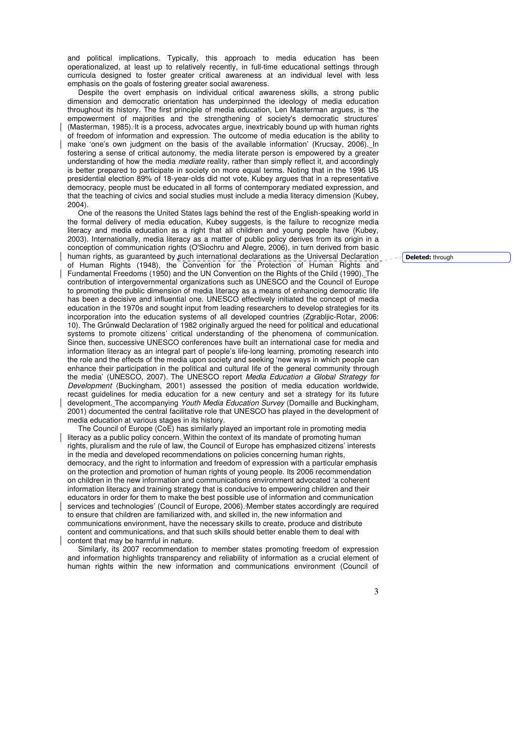and political implications. Typically, this approach to media education has been operationalized, at least up to relatively recently, in full-time educational settings through curricula designed to foster greater critical awareness at an individual level with less emphasis on the goals of fostering greater social awareness.

Despite the overt emphasis on individual critical awareness skills, a strong public dimension and democratic orientation has underpinned the ideology of media education throughout its history. The first principle of media education, Len Masterman argues, is 'the empowerment of majorities and the strengthening of society's democratic structures' (Masterman, 1985). It is a process, advocates argue, inextricably bound up with human rights of freedom of information and expression. The outcome of media education is the ability to make 'one's own judgment on the basis of the available information' (Krucsay, 2006). In fostering a sense of critical autonomy, the media literate person is empowered by a greater understanding of how the media *mediate* reality, rather than simply reflect it, and accordingly is better prepared to participate in society on more equal terms. Noting that in the 1996 US presidential election 89% of 18-year-olds did not vote, Kubey argues that in a representative democracy, people must be educated in all forms of contemporary mediated expression, and that the teaching of civics and social studies must include a media literacy dimension (Kubey, 2004).

One of the reasons the United States lags behind the rest of the English-speaking world in the formal delivery of media education, Kubey suggests, is the failure to recognize media literacy and media education as a right that all children and young people have (Kubey, 2003). Internationally, media literacy as a matter of public policy derives from its origin in a conception of communication rights (O'Siochru and Alegre, 2006), in turn derived from basic human rights, as guaranteed by such international declarations as the Universal Declaration of Human Rights (1948), the Convention for the Protection of Human Rights and Fundamental Freedoms (1950) and the UN Convention on the Rights of the Child (1990). The contribution of intergovernmental organizations such as UNESCO and the Council of Europe to promoting the public dimension of media literacy as a means of enhancing democratic life has been a decisive and influential one. UNESCO effectively initiated the concept of media education in the 1970s and sought input from leading researchers to develop strategies for its incorporation into the education systems of all developed countries (Zgrabljic-Rotar, 2006: 10). The Grünwald Declaration of 1982 originally argued the need for political and educational systems to promote citizens' critical understanding of the phenomena of communication. Since then, successive UNESCO conferences have built an international case for media and information literacy as an integral part of people's life-long learning, promoting research into the role and the effects of the media upon society and seeking 'new ways in which people can enhance their participation in the political and cultural life of the general community through the media' (UNESCO, 2007). The UNESCO report Media Education a Global Strategy for Development (Buckingham, 2001) assessed the position of media education worldwide, recast guidelines for media education for a new century and set a strategy for its future development. The accompanying Youth Media Education Survey (Domaille and Buckingham, 2001) documented the central facilitative role that UNESCO has played in the development of media education at various stages in its history.

The Council of Europe (CoE) has similarly played an important role in promoting media literacy as a public policy concern. Within the context of its mandate of promoting human rights, pluralism and the rule of law, the Council of Europe has emphasized citizens' interests in the media and developed recommendations on policies concerning human rights, democracy, and the right to information and freedom of expression with a particular emphasis on the protection and promotion of human rights of young people. Its 2006 recommendation on children in the new information and communications environment advocated 'a coherent information literacy and training strategy that is conducive to empowering children and their educators in order for them to make the best possible use of information and communication services and technologies' (Council of Europe, 2006). Member states accordingly are required to ensure that children are familiarized with, and skilled in, the new information and communications environment, have the necessary skills to create, produce and distribute content and communications, and that such skills should better enable them to deal with content that may be harmful in nature.

Similarly, its 2007 recommendation to member states promoting freedom of expression and information highlights transparency and reliability of information as a crucial element of human rights within the new information and communications environment (Council of Deleted: through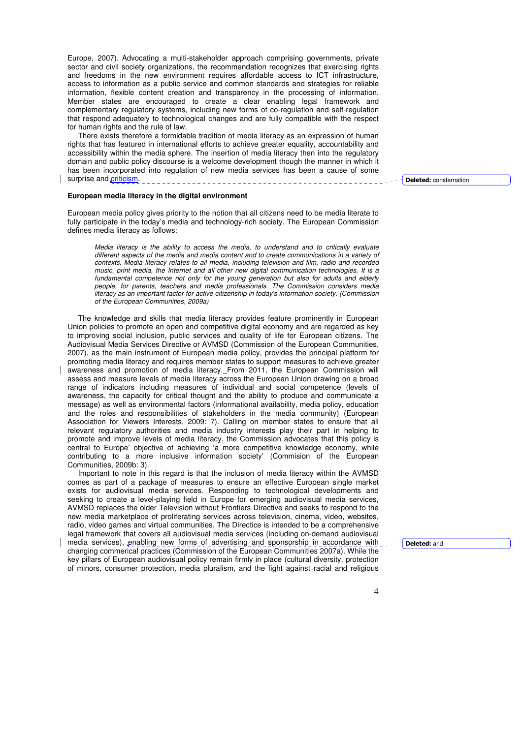Europe, 2007). Advocating a multi-stakeholder approach comprising governments, private sector and civil society organizations, the recommendation recognizes that exercising rights and freedoms in the new environment requires affordable access to ICT infrastructure, access to information as a public service and common standards and strategies for reliable information, flexible content creation and transparency in the processing of information. Member states are encouraged to create a clear enabling legal framework and complementary regulatory systems, including new forms of co-regulation and self-regulation that respond adequately to technological changes and are fully compatible with the respect for human rights and the rule of law.

There exists therefore a formidable tradition of media literacy as an expression of human rights that has featured in international efforts to achieve greater equality, accountability and accessibility within the media sphere. The insertion of media literacy then into the regulatory domain and public policy discourse is a welcome development though the manner in which it has been incorporated into regulation of new media services has been a cause of some surprise and criticism.

**European media literacy in the digital environment** 

European media policy gives priority to the notion that all citizens need to be media literate to fully participate in the today's media and technology-rich society. The European Commission defines media literacy as follows:

Media literacy is the ability to access the media, to understand and to critically evaluate different aspects of the media and media content and to create communications in a variety of contexts. Media literacy relates to all media, including television and film, radio and recorded music, print media, the Internet and all other new digital communication technologies. It is a fundamental competence not only for the young generation but also for adults and elderly people, for parents, teachers and media professionals. The Commission considers media literacy as an important factor for active citizenship in today's information society. (Commission of the European Communities, 2009a)

The knowledge and skills that media literacy provides feature prominently in European Union policies to promote an open and competitive digital economy and are regarded as key to improving social inclusion, public services and quality of life for European citizens. The Audiovisual Media Services Directive or AVMSD (Commission of the European Communities, 2007), as the main instrument of European media policy, provides the principal platform for promoting media literacy and requires member states to support measures to achieve greater awareness and promotion of media literacy. From 2011, the European Commission will assess and measure levels of media literacy across the European Union drawing on a broad range of indicators including measures of individual and social competence (levels of awareness, the capacity for critical thought and the ability to produce and communicate a message) as well as environmental factors (informational availability, media policy, education and the roles and responsibilities of stakeholders in the media community) (European Association for Viewers Interests, 2009: 7). Calling on member states to ensure that all relevant regulatory authorities and media industry interests play their part in helping to promote and improve levels of media literacy, the Commission advocates that this policy is central to Europe' objective of achieving 'a more competitive knowledge economy, while contributing to a more inclusive information society' (Commision of the European Communities, 2009b: 3).

Important to note in this regard is that the inclusion of media literacy within the AVMSD comes as part of a package of measures to ensure an effective European single market exists for audiovisual media services. Responding to technological developments and seeking to create a level-playing field in Europe for emerging audiovisual media services, AVMSD replaces the older Television without Frontiers Directive and seeks to respond to the new media marketplace of proliferating services across television, cinema, video, websites, radio, video games and virtual communities. The Directice is intended to be a comprehensive legal framework that covers all audiovisual media services (including on-demand audiovisual media services), enabling new forms of advertising and sponsorship in accordance with changing commerical practices (Commission of the European Communities 2007a). While the key pillars of European audiovisual policy remain firmly in place (cultural diversity, protection of minors, consumer protection, media pluralism, and the fight against racial and religious

Deleted: consternation

Deleted: and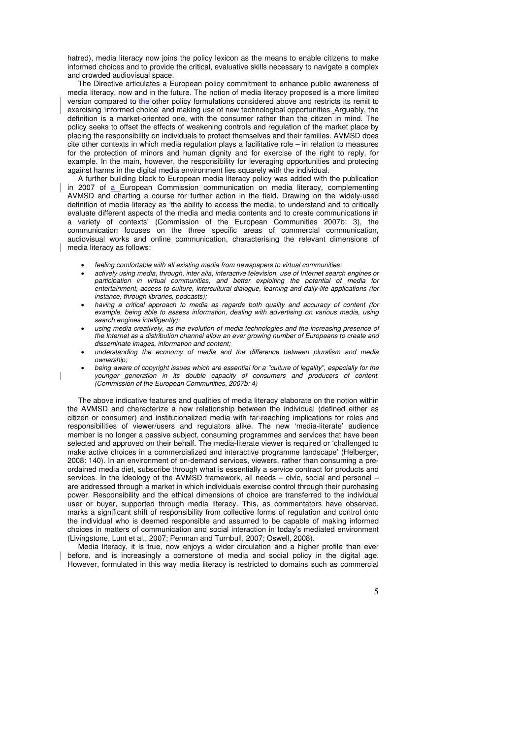hatred), media literacy now joins the policy lexicon as the means to enable citizens to make informed choices and to provide the critical, evaluative skills necessary to navigate a complex and crowded audiovisual space.

The Directive articulates a European policy commitment to enhance public awareness of media literacy, now and in the future. The notion of media literacy proposed is a more limited version compared to the other policy formulations considered above and restricts its remit to exercising 'informed choice' and making use of new technological opportunities. Arguably, the definition is a market-oriented one, with the consumer rather than the citizen in mind. The policy seeks to offset the effects of weakening controls and regulation of the market place by placing the responsibility on individuals to protect themselves and their families. AVMSD does cite other contexts in which media regulation plays a facilitative role – in relation to measures for the protection of minors and human dignity and for exercise of the right to reply, for example. In the main, however, the responsibility for leveraging opportunities and protecing against harms in the digital media environment lies squarely with the individual.

A further building block to European media literacy policy was added with the publication in 2007 of a European Commission communication on media literacy, complementing AVMSD and charting a course for further action in the field. Drawing on the widely-used definition of media literacy as 'the ability to access the media, to understand and to critically evaluate different aspects of the media and media contents and to create communications in a variety of contexts' (Commission of the European Communities 2007b: 3), the communication focuses on the three specific areas of commercial communication, audiovisual works and online communication, characterising the relevant dimensions of media literacy as follows:

- feeling comfortable with all existing media from newspapers to virtual communities;
- actively using media, through, inter alia, interactive television, use of Internet search engines or participation in virtual communities, and better exploiting the potential of media for entertainment, access to culture, intercultural dialogue, learning and daily-life applications (for instance, through libraries, podcasts);
- having a critical approach to media as regards both quality and accuracy of content (for example, being able to assess information, dealing with advertising on various media, using search engines intelligently);
- using media creatively, as the evolution of media technologies and the increasing presence of the Internet as a distribution channel allow an ever growing number of Europeans to create and disseminate images, information and content;
- understanding the economy of media and the difference between pluralism and media ownership;
- being aware of copyright issues which are essential for a "culture of legality", especially for the younger generation in its double capacity of consumers and producers of content. (Commission of the European Communities, 2007b: 4)

The above indicative features and qualities of media literacy elaborate on the notion within the AVMSD and characterize a new relationship between the individual (defined either as citizen or consumer) and institutionalized media with far-reaching implications for roles and responsibilities of viewer/users and regulators alike. The new 'media-literate' audience member is no longer a passive subject, consuming programmes and services that have been selected and approved on their behalf. The media-literate viewer is required or 'challenged to make active choices in a commercialized and interactive programme landscape' (Helberger, 2008: 140). In an environment of on-demand services, viewers, rather than consuming a preordained media diet, subscribe through what is essentially a service contract for products and services. In the ideology of the AVMSD framework, all needs – civic, social and personal – are addressed through a market in which individuals exercise control through their purchasing power. Responsibility and the ethical dimensions of choice are transferred to the individual user or buyer, supported through media literacy. This, as commentators have observed, marks a significant shift of responsibility from collective forms of regulation and control onto the individual who is deemed responsible and assumed to be capable of making informed choices in matters of communication and social interaction in today's mediated environment (Livingstone, Lunt et al., 2007; Penman and Turnbull, 2007; Oswell, 2008).

Media literacy, it is true, now enjoys a wider circulation and a higher profile than ever before, and is increasingly a cornerstone of media and social policy in the digital age. However, formulated in this way media literacy is restricted to domains such as commercial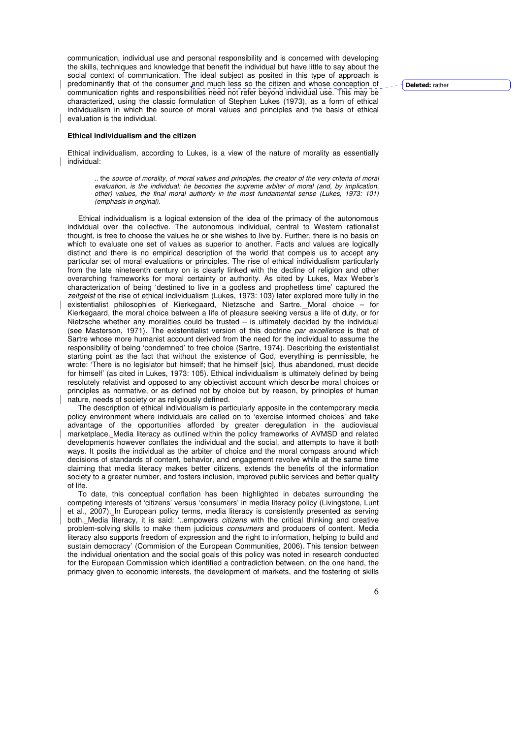communication, individual use and personal responsibility and is concerned with developing the skills, techniques and knowledge that benefit the individual but have little to say about the social context of communication. The ideal subject as posited in this type of approach is predominantly that of the consumer and much less so the citizen and whose conception of communication rights and responsibilities need not refer beyond individual use. This may be characterized, using the classic formulation of Stephen Lukes (1973), as a form of ethical individualism in which the source of moral values and principles and the basis of ethical evaluation is the individual.

#### **Ethical individualism and the citizen**

Ethical individualism, according to Lukes, is a view of the nature of morality as essentially individual:

.. the source of morality, of moral values and principles, the creator of the very criteria of moral evaluation, is the individual: he becomes the supreme arbiter of moral (and, by implication, other) values, the final moral authority in the most fundamental sense (Lukes, 1973: 101) (emphasis in original).

Ethical individualism is a logical extension of the idea of the primacy of the autonomous individual over the collective. The autonomous individual, central to Western rationalist thought, is free to choose the values he or she wishes to live by. Further, there is no basis on which to evaluate one set of values as superior to another. Facts and values are logically distinct and there is no empirical description of the world that compels us to accept any particular set of moral evaluations or principles. The rise of ethical individualism particularly from the late nineteenth century on is clearly linked with the decline of religion and other overarching frameworks for moral certainty or authority. As cited by Lukes, Max Weber's characterization of being 'destined to live in a godless and prophetless time' captured the zeitgeist of the rise of ethical individualism (Lukes, 1973: 103) later explored more fully in the existentialist philosophies of Kierkegaard, Nietzsche and Sartre. Moral choice – for Kierkegaard, the moral choice between a life of pleasure seeking versus a life of duty, or for Nietzsche whether any moralities could be trusted – is ultimately decided by the individual (see Masterson, 1971). The existentialist version of this doctrine par excellence is that of Sartre whose more humanist account derived from the need for the individual to assume the responsibility of being 'condemned' to free choice (Sartre, 1974). Describing the existentialist starting point as the fact that without the existence of God, everything is permissible, he wrote: 'There is no legislator but himself; that he himself [sic], thus abandoned, must decide for himself' (as cited in Lukes, 1973: 105). Ethical individualism is ultimately defined by being resolutely relativist and opposed to any objectivist account which describe moral choices or principles as normative, or as defined not by choice but by reason, by principles of human nature, needs of society or as religiously defined.

The description of ethical individualism is particularly apposite in the contemporary media policy environment where individuals are called on to 'exercise informed choices' and take advantage of the opportunities afforded by greater deregulation in the audiovisual marketplace. Media literacy as outlined within the policy frameworks of AVMSD and related developments however conflates the individual and the social, and attempts to have it both ways. It posits the individual as the arbiter of choice and the moral compass around which decisions of standards of content, behavior, and engagement revolve while at the same time claiming that media literacy makes better citizens, extends the benefits of the information society to a greater number, and fosters inclusion, improved public services and better quality of life.

To date, this conceptual conflation has been highlighted in debates surrounding the competing interests of 'citizens' versus 'consumers' in media literacy policy (Livingstone, Lunt et al., 2007). In European policy terms, media literacy is consistently presented as serving both. Media literacy, it is said: '..empowers citizens with the critical thinking and creative problem-solving skills to make them judicious consumers and producers of content. Media literacy also supports freedom of expression and the right to information, helping to build and sustain democracy' (Commision of the European Communities, 2006). This tension between the individual orientation and the social goals of this policy was noted in research conducted for the European Commission which identified a contradiction between, on the one hand, the primacy given to economic interests, the development of markets, and the fostering of skills Deleted: rather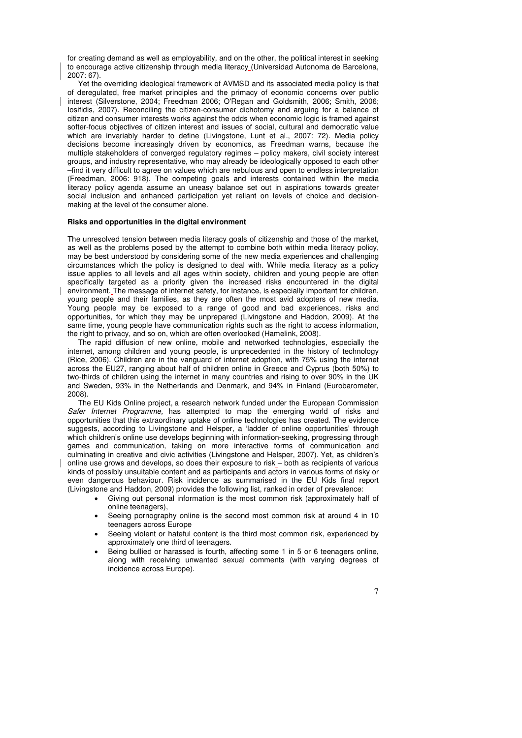for creating demand as well as employability, and on the other, the political interest in seeking to encourage active citizenship through media literacy (Universidad Autonoma de Barcelona, 2007: 67).

Yet the overriding ideological framework of AVMSD and its associated media policy is that of deregulated, free market principles and the primacy of economic concerns over public interest (Silverstone, 2004; Freedman 2006; O'Regan and Goldsmith, 2006; Smith, 2006; losifidis, 2007). Reconciling the citizen-consumer dichotomy and arguing for a balance of citizen and consumer interests works against the odds when economic logic is framed against softer-focus objectives of citizen interest and issues of social, cultural and democratic value which are invariably harder to define (Livingstone, Lunt et al., 2007: 72). Media policy decisions become increasingly driven by economics, as Freedman warns, because the multiple stakeholders of converged regulatory regimes – policy makers, civil society interest groups, and industry representative, who may already be ideologically opposed to each other –find it very difficult to agree on values which are nebulous and open to endless interpretation (Freedman, 2006: 918). The competing goals and interests contained within the media literacy policy agenda assume an uneasy balance set out in aspirations towards greater social inclusion and enhanced participation yet reliant on levels of choice and decisionmaking at the level of the consumer alone.

### **Risks and opportunities in the digital environment**

The unresolved tension between media literacy goals of citizenship and those of the market, as well as the problems posed by the attempt to combine both within media literacy policy, may be best understood by considering some of the new media experiences and challenging circumstances which the policy is designed to deal with. While media literacy as a policy issue applies to all levels and all ages within society, children and young people are often specifically targeted as a priority given the increased risks encountered in the digital environment. The message of internet safety, for instance, is especially important for children, young people and their families, as they are often the most avid adopters of new media. Young people may be exposed to a range of good and bad experiences, risks and opportunities, for which they may be unprepared (Livingstone and Haddon, 2009). At the same time, young people have communication rights such as the right to access information, the right to privacy, and so on, which are often overlooked (Hamelink, 2008).

The rapid diffusion of new online, mobile and networked technologies, especially the internet, among children and young people, is unprecedented in the history of technology (Rice, 2006). Children are in the vanguard of internet adoption, with 75% using the internet across the EU27, ranging about half of children online in Greece and Cyprus (both 50%) to two-thirds of children using the internet in many countries and rising to over 90% in the UK and Sweden, 93% in the Netherlands and Denmark, and 94% in Finland (Eurobarometer, 2008).

The EU Kids Online project, a research network funded under the European Commission Safer Internet Programme, has attempted to map the emerging world of risks and opportunities that this extraordinary uptake of online technologies has created. The evidence suggests, according to Livingstone and Helsper, a 'ladder of online opportunities' through which children's online use develops beginning with information-seeking, progressing through games and communication, taking on more interactive forms of communication and culminating in creative and civic activities (Livingstone and Helsper, 2007). Yet, as children's online use grows and develops, so does their exposure to risk – both as recipients of various kinds of possibly unsuitable content and as participants and actors in various forms of risky or even dangerous behaviour. Risk incidence as summarised in the EU Kids final report (Livingstone and Haddon, 2009) provides the following list, ranked in order of prevalence:

- Giving out personal information is the most common risk (approximately half of online teenagers),
- Seeing pornography online is the second most common risk at around 4 in 10 teenagers across Europe
- Seeing violent or hateful content is the third most common risk, experienced by approximately one third of teenagers.
- Being bullied or harassed is fourth, affecting some 1 in 5 or 6 teenagers online, along with receiving unwanted sexual comments (with varying degrees of incidence across Europe).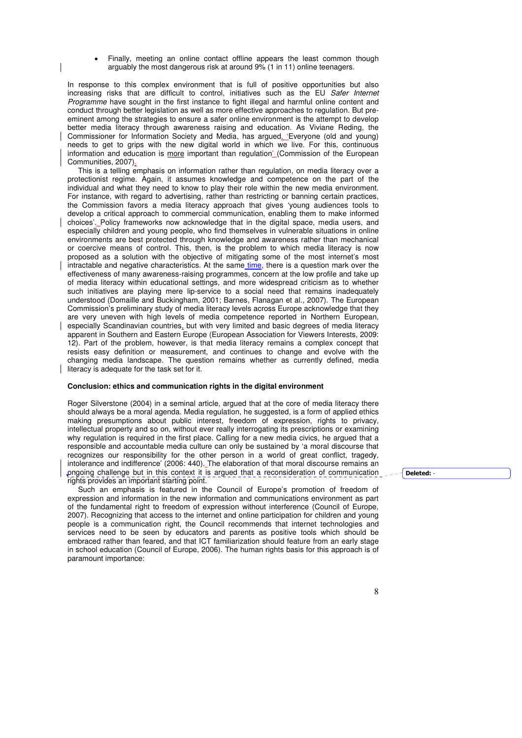• Finally, meeting an online contact offline appears the least common though arguably the most dangerous risk at around 9% (1 in 11) online teenagers.

In response to this complex environment that is full of positive opportunities but also increasing risks that are difficult to control, initiatives such as the EU Safer Internet Programme have sought in the first instance to fight illegal and harmful online content and conduct through better legislation as well as more effective approaches to regulation. But preeminent among the strategies to ensure a safer online environment is the attempt to develop better media literacy through awareness raising and education. As Viviane Reding, the Commissioner for Information Society and Media, has argued, 'Everyone (old and young) needs to get to grips with the new digital world in which we live. For this, continuous information and education is more important than regulation' (Commission of the European Communities, 2007).

This is a telling emphasis on information rather than regulation, on media literacy over a protectionist regime. Again, it assumes knowledge and competence on the part of the individual and what they need to know to play their role within the new media environment. For instance, with regard to advertising, rather than restricting or banning certain practices, the Commission favors a media literacy approach that gives 'young audiences tools to develop a critical approach to commercial communication, enabling them to make informed choices'. Policy frameworks now acknowledge that in the digital space, media users, and especially children and young people, who find themselves in vulnerable situations in online environments are best protected through knowledge and awareness rather than mechanical or coercive means of control. This, then, is the problem to which media literacy is now proposed as a solution with the objective of mitigating some of the most internet's most intractable and negative characteristics. At the same time, there is a question mark over the effectiveness of many awareness-raising programmes, concern at the low profile and take up of media literacy within educational settings, and more widespread criticism as to whether such initiatives are playing mere lip-service to a social need that remains inadequately understood (Domaille and Buckingham, 2001; Barnes, Flanagan et al., 2007). The European Commission's preliminary study of media literacy levels across Europe acknowledge that they are very uneven with high levels of media competence reported in Northern European, especially Scandinavian countries, but with very limited and basic degrees of media literacy apparent in Southern and Eastern Europe (European Association for Viewers Interests, 2009: 12). Part of the problem, however, is that media literacy remains a complex concept that resists easy definition or measurement, and continues to change and evolve with the changing media landscape. The question remains whether as currently defined, media literacy is adequate for the task set for it.

#### **Conclusion: ethics and communication rights in the digital environment**

Roger Silverstone (2004) in a seminal article, argued that at the core of media literacy there should always be a moral agenda. Media regulation, he suggested, is a form of applied ethics making presumptions about public interest, freedom of expression, rights to privacy, intellectual property and so on, without ever really interrogating its prescriptions or examining why regulation is required in the first place. Calling for a new media civics, he argued that a responsible and accountable media culture can only be sustained by 'a moral discourse that recognizes our responsibility for the other person in a world of great conflict, tragedy, intolerance and indifference' (2006: 440). The elaboration of that moral discourse remains an ongoing challenge but in this context it is argued that a reconsideration of communication rights provides an important starting point.

Such an emphasis is featured in the Council of Europe's promotion of freedom of expression and information in the new information and communications environment as part of the fundamental right to freedom of expression without interference (Council of Europe, 2007). Recognizing that access to the internet and online participation for children and young people is a communication right, the Council recommends that internet technologies and services need to be seen by educators and parents as positive tools which should be embraced rather than feared, and that ICT familiarization should feature from an early stage in school education (Council of Europe, 2006). The human rights basis for this approach is of paramount importance:

Deleted: -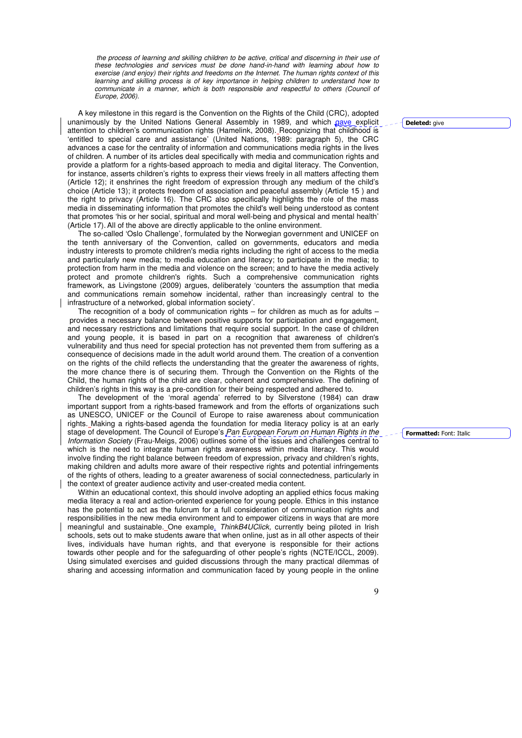the process of learning and skilling children to be active, critical and discerning in their use of these technologies and services must be done hand-in-hand with learning about how to exercise (and enjoy) their rights and freedoms on the Internet. The human rights context of this learning and skilling process is of key importance in helping children to understand how to communicate in a manner, which is both responsible and respectful to others (Council of Europe, 2006).

A key milestone in this regard is the Convention on the Rights of the Child (CRC), adopted unanimously by the United Nations General Assembly in 1989, and which gave explicit attention to children's communication rights (Hamelink, 2008). Recognizing that childhood is 'entitled to special care and assistance' (United Nations, 1989: paragraph 5), the CRC advances a case for the centrality of information and communications media rights in the lives of children. A number of its articles deal specifically with media and communication rights and provide a platform for a rights-based approach to media and digital literacy. The Convention, for instance, asserts children's rights to express their views freely in all matters affecting them (Article 12); it enshrines the right freedom of expression through any medium of the child's choice (Article 13); it protects freedom of association and peaceful assembly (Article 15 ) and the right to privacy (Article 16). The CRC also specifically highlights the role of the mass media in disseminating information that promotes the child's well being understood as content that promotes 'his or her social, spiritual and moral well-being and physical and mental health' (Article 17). All of the above are directly applicable to the online environment.

The so-called 'Oslo Challenge', formulated by the Norwegian government and UNICEF on the tenth anniversary of the Convention, called on governments, educators and media industry interests to promote children's media rights including the right of access to the media and particularly new media; to media education and literacy; to participate in the media; to protection from harm in the media and violence on the screen; and to have the media actively protect and promote children's rights. Such a comprehensive communication rights framework, as Livingstone (2009) argues, deliberately 'counters the assumption that media and communications remain somehow incidental, rather than increasingly central to the infrastructure of a networked, global information society'.

The recognition of a body of communication rights  $-$  for children as much as for adults  $$  provides a necessary balance between positive supports for participation and engagement, and necessary restrictions and limitations that require social support. In the case of children and young people, it is based in part on a recognition that awareness of children's vulnerability and thus need for special protection has not prevented them from suffering as a consequence of decisions made in the adult world around them. The creation of a convention on the rights of the child reflects the understanding that the greater the awareness of rights, the more chance there is of securing them. Through the Convention on the Rights of the Child, the human rights of the child are clear, coherent and comprehensive. The defining of children's rights in this way is a pre-condition for their being respected and adhered to.

The development of the 'moral agenda' referred to by Silverstone (1984) can draw important support from a rights-based framework and from the efforts of organizations such as UNESCO, UNICEF or the Council of Europe to raise awareness about communication rights. Making a rights-based agenda the foundation for media literacy policy is at an early stage of development. The Council of Europe's Pan European Forum on Human Rights in the Information Society (Frau-Meigs, 2006) outlines some of the issues and challenges central to which is the need to integrate human rights awareness within media literacy. This would involve finding the right balance between freedom of expression, privacy and children's rights, making children and adults more aware of their respective rights and potential infringements of the rights of others, leading to a greater awareness of social connectedness, particularly in the context of greater audience activity and user-created media content.

Within an educational context, this should involve adopting an applied ethics focus making media literacy a real and action-oriented experience for young people. Ethics in this instance has the potential to act as the fulcrum for a full consideration of communication rights and responsibilities in the new media environment and to empower citizens in ways that are more meaningful and sustainable. One example, ThinkB4UClick, currently being piloted in Irish schools, sets out to make students aware that when online, just as in all other aspects of their lives, individuals have human rights, and that everyone is responsible for their actions towards other people and for the safeguarding of other people's rights (NCTE/ICCL, 2009). Using simulated exercises and guided discussions through the many practical dilemmas of sharing and accessing information and communication faced by young people in the online Deleted: give

Formatted: Font: Italic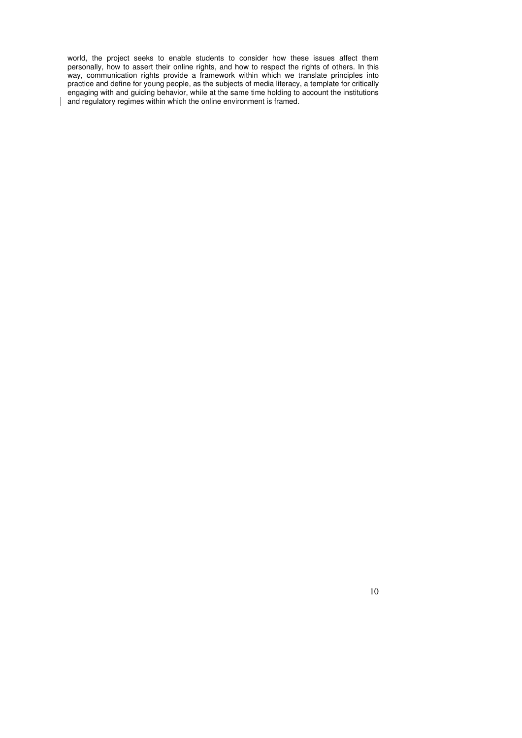world, the project seeks to enable students to consider how these issues affect them personally, how to assert their online rights, and how to respect the rights of others. In this way, communication rights provide a framework within which we translate principles into practice and define for young people, as the subjects of media literacy, a template for critically engaging with and guiding behavior, while at the same time holding to account the institutions and regulatory regimes within which the online environment is framed.

 $\overline{\phantom{a}}$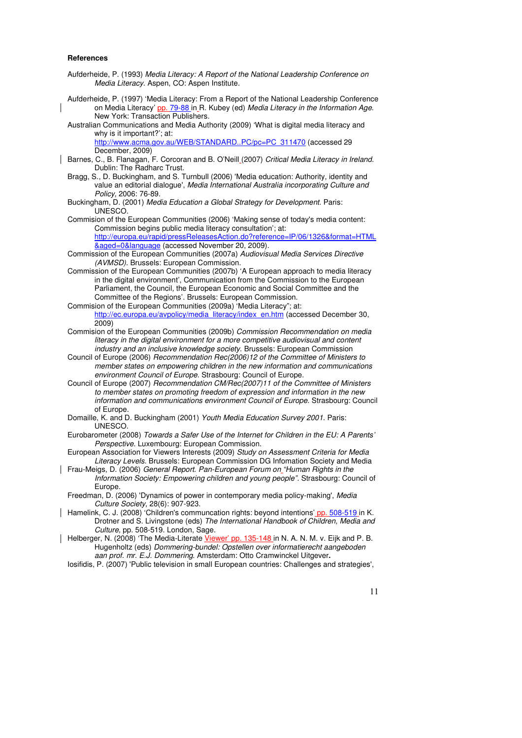#### **References**

- Aufderheide, P. (1993) Media Literacy: A Report of the National Leadership Conference on Media Literacy. Aspen, CO: Aspen Institute.
- Aufderheide, P. (1997) 'Media Literacy: From a Report of the National Leadership Conference on Media Literacy' pp. 79-88 in R. Kubey (ed) Media Literacy in the Information Age. New York: Transaction Publishers.
- Australian Communications and Media Authority (2009) 'What is digital media literacy and why is it important?'; at: http://www.acma.gov.au/WEB/STANDARD..PC/pc=PC\_311470 (accessed 29

December, 2009) Barnes, C., B. Flanagan, F. Corcoran and B. O'Neill (2007) Critical Media Literacy in Ireland.

- Dublin: The Radharc Trust. Bragg, S., D. Buckingham, and S. Turnbull (2006) 'Media education: Authority, identity and value an editorial dialogue', Media International Australia incorporating Culture and Policy, 2006: 76-89.
- Buckingham, D. (2001) Media Education a Global Strategy for Development. Paris: UNESCO.
- Commision of the European Communities (2006) 'Making sense of today's media content: Commission begins public media literacy consultation'; at: http://europa.eu/rapid/pressReleasesAction.do?reference=IP/06/1326&format=HTML &aged=0&language (accessed November 20, 2009).
- Commission of the European Communities (2007a) Audiovisual Media Services Directive (AVMSD). Brussels: European Commission.
- Commission of the European Communities (2007b) 'A European approach to media literacy in the digital environment', Communication from the Commission to the European Parliament, the Council, the European Economic and Social Committee and the Committee of the Regions'. Brussels: European Commission.

Commision of the European Communities (2009a) 'Media Literacy"; at: http://ec.europa.eu/avpolicy/media\_literacy/index\_en.htm (accessed December 30, 2009)

- Commision of the European Communities (2009b) Commission Recommendation on media literacy in the digital environment for a more competitive audiovisual and content industry and an inclusive knowledge society. Brussels: European Commission
- Council of Europe (2006) Recommendation Rec(2006)12 of the Committee of Ministers to member states on empowering children in the new information and communications environment Council of Europe. Strasbourg: Council of Europe.
- Council of Europe (2007) Recommendation CM/Rec(2007)11 of the Committee of Ministers to member states on promoting freedom of expression and information in the new information and communications environment Council of Europe. Strasbourg: Council of Europe.
- Domaille, K. and D. Buckingham (2001) Youth Media Education Survey 2001. Paris: UNESCO.

Eurobarometer (2008) Towards a Safer Use of the Internet for Children in the EU: A Parents' Perspective. Luxembourg: European Commission.

- European Association for Viewers Interests (2009) Study on Assessment Criteria for Media Literacy Levels. Brussels: European Commission DG Infomation Society and Media Frau-Meigs, D. (2006) General Report. Pan-European Forum on "Human Rights in the
- Information Society: Empowering children and young people". Strasbourg: Council of Europe.

Freedman, D. (2006) 'Dynamics of power in contemporary media policy-making', Media Culture Society, 28(6): 907-923.

Hamelink, C. J. (2008) 'Children's communcation rights: beyond intentions' pp. 508-519 in K. Drotner and S. Livingstone (eds) The International Handbook of Children, Media and Culture, pp. 508-519. London, Sage.

Helberger, N. (2008) 'The Media-Literate Viewer' pp. 135-148 in N. A. N. M. v. Eijk and P. B. Hugenholtz (eds) Dommering-bundel: Opstellen over informatierecht aangeboden aan prof. mr. E.J. Dommering. Amsterdam: Otto Cramwinckel Uitgever**.** 

Iosifidis, P. (2007) 'Public television in small European countries: Challenges and strategies',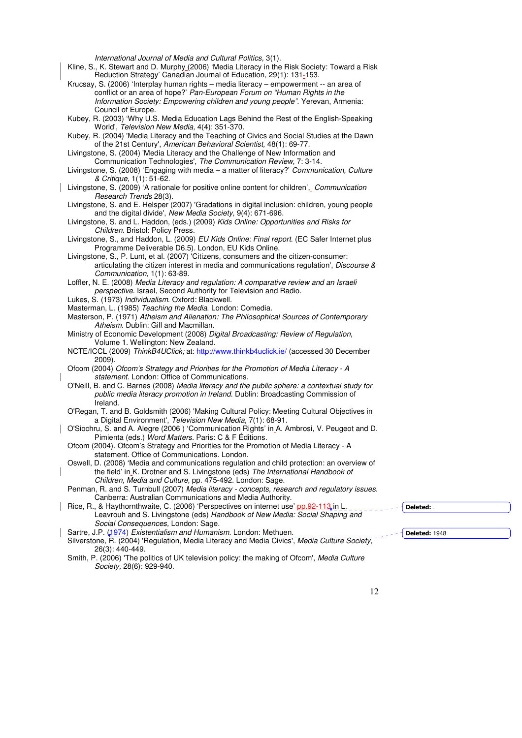International Journal of Media and Cultural Politics, 3(1).

- Kline, S., K. Stewart and D. Murphy (2006) 'Media Literacy in the Risk Society: Toward a Risk Reduction Strategy' Canadian Journal of Education, 29(1): 131-153.
- Krucsay, S. (2006) 'Interplay human rights media literacy empowerment -- an area of conflict or an area of hope?' Pan-European Forum on "Human Rights in the Information Society: Empowering children and young people". Yerevan, Armenia: Council of Europe.
- Kubey, R. (2003) 'Why U.S. Media Education Lags Behind the Rest of the English-Speaking World', Television New Media, 4(4): 351-370.
- Kubey, R. (2004) 'Media Literacy and the Teaching of Civics and Social Studies at the Dawn of the 21st Century', American Behavioral Scientist, 48(1): 69-77.
- Livingstone, S. (2004) 'Media Literacy and the Challenge of New Information and Communication Technologies', The Communication Review, 7: 3-14.
- Livingstone, S. (2008) 'Engaging with media a matter of literacy?' Communication, Culture & Critique, 1(1): 51-62.
- Livingstone, S. (2009) 'A rationale for positive online content for children', Communication Research Trends 28(3).
- Livingstone, S. and E. Helsper (2007) 'Gradations in digital inclusion: children, young people and the digital divide', New Media Society, 9(4): 671-696.
- Livingstone, S. and L. Haddon, (eds.) (2009) Kids Online: Opportunities and Risks for Children. Bristol: Policy Press.
- Livingstone, S., and Haddon, L. (2009) EU Kids Online: Final report. (EC Safer Internet plus Programme Deliverable D6.5). London, EU Kids Online.
- Livingstone, S., P. Lunt, et al. (2007) 'Citizens, consumers and the citizen-consumer: articulating the citizen interest in media and communications regulation', Discourse & Communication, 1(1): 63-89.
- Loffler, N. E. (2008) Media Literacy and regulation: A comparative review and an Israeli perspective. Israel, Second Authority for Television and Radio.
- Lukes, S. (1973) Individualism. Oxford: Blackwell.
- Masterman, L. (1985) Teaching the Media. London: Comedia.
- Masterson, P. (1971) Atheism and Alienation: The Philosophical Sources of Contemporary Atheism. Dublin: Gill and Macmillan.
- Ministry of Economic Development (2008) Digital Broadcasting: Review of Regulation, Volume 1. Wellington: New Zealand.
- NCTE/ICCL (2009) ThinkB4UClick; at: http://www.thinkb4uclick.ie/ (accessed 30 December 2009).
- Ofcom (2004) Ofcom's Strategy and Priorities for the Promotion of Media Literacy A statement. London: Office of Communications.
- O'Neill, B. and C. Barnes (2008) Media literacy and the public sphere: a contextual study for public media literacy promotion in Ireland. Dublin: Broadcasting Commission of Ireland.
- O'Regan, T. and B. Goldsmith (2006) 'Making Cultural Policy: Meeting Cultural Objectives in a Digital Environment', Television New Media, 7(1): 68-91.
- O'Siochru, S. and A. Alegre (2006 ) 'Communication Rights' in A. Ambrosi, V. Peugeot and D. Pimienta (eds.) Word Matters. Paris: C & F Éditions.
- Ofcom (2004). Ofcom's Strategy and Priorities for the Promotion of Media Literacy A statement. Office of Communications. London.
- Oswell, D. (2008) 'Media and communications regulation and child protection: an overview of the field' in K. Drotner and S. Livingstone (eds) The International Handbook of Children, Media and Culture, pp. 475-492. London: Sage.
- Penman, R. and S. Turnbull (2007) Media literacy concepts, research and regulatory issues. Canberra: Australian Communications and Media Authority.
- Rice, R., & Haythornthwaite, C. (2006) 'Perspectives on internet use' pp.92-113 in L. Leavrouh and S. Livingstone (eds) Handbook of New Media: Social Shaping and Social Consequences, London: Sage. Sartre, J.P. (1974) Existentialism and Humanism. London: Methuen. Deleted: . Deleted: 1948
- Silverstone, R. (2004) 'Regulation, Media Literacy and Media Civics', Media Culture Society, 26(3): 440-449.
- Smith, P. (2006) 'The politics of UK television policy: the making of Ofcom', Media Culture Society, 28(6): 929-940.